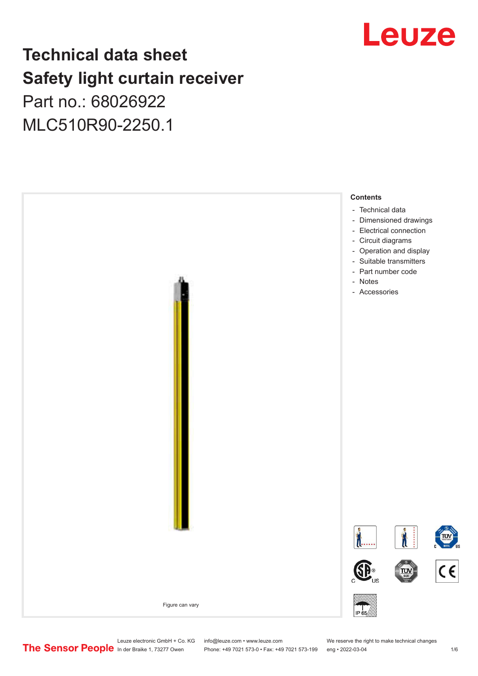## Leuze

## **Technical data sheet Safety light curtain receiver** Part no.: 68026922

MLC510R90-2250.1



Leuze electronic GmbH + Co. KG info@leuze.com • www.leuze.com We reserve the right to make technical changes<br>
The Sensor People in der Braike 1, 73277 Owen Phone: +49 7021 573-0 • Fax: +49 7021 573-199 eng • 2022-03-04

Phone: +49 7021 573-0 • Fax: +49 7021 573-199 eng • 2022-03-04 1/6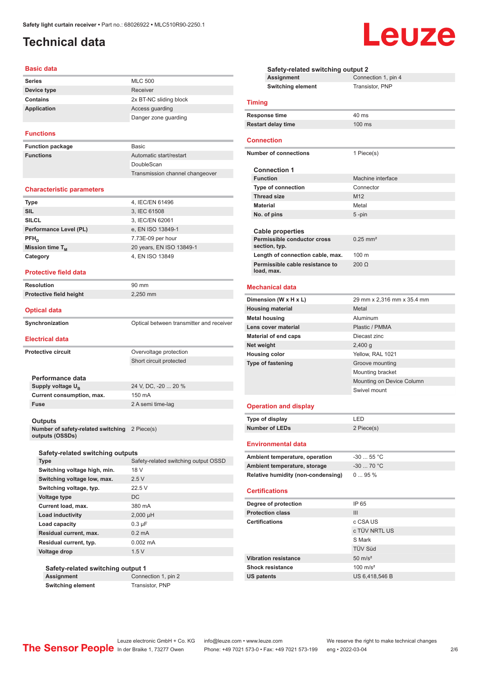## <span id="page-1-0"></span>**Technical data**

#### **Basic data**

| <b>Series</b>   | <b>MLC 500</b>         |
|-----------------|------------------------|
| Device type     | Receiver               |
| <b>Contains</b> | 2x BT-NC sliding block |
| Application     | Access guarding        |
|                 | Danger zone guarding   |

#### **Functions**

| <b>Function package</b> | <b>Basic</b>                    |
|-------------------------|---------------------------------|
| <b>Functions</b>        | Automatic start/restart         |
|                         | DoubleScan                      |
|                         | Transmission channel changeover |

#### **Characteristic parameters**

| <b>Type</b>                 | 4, IEC/EN 61496          |
|-----------------------------|--------------------------|
| <b>SIL</b>                  | 3, IEC 61508             |
| <b>SILCL</b>                | 3, IEC/EN 62061          |
| Performance Level (PL)      | e, EN ISO 13849-1        |
| $PFH_n$                     | 7.73E-09 per hour        |
| Mission time T <sub>M</sub> | 20 years, EN ISO 13849-1 |
| Category                    | 4, EN ISO 13849          |
|                             |                          |

#### **Protective field data**

| <b>Resolution</b>                                     | 90 mm                                    |
|-------------------------------------------------------|------------------------------------------|
| Protective field height                               | 2,250 mm                                 |
| <b>Optical data</b>                                   |                                          |
| Synchronization                                       | Optical between transmitter and receiver |
| <b>Electrical data</b>                                |                                          |
| <b>Protective circuit</b>                             | Overvoltage protection                   |
|                                                       | Short circuit protected                  |
| Performance data                                      |                                          |
| Supply voltage U <sub>B</sub>                         | 24 V, DC, -20  20 %                      |
| Current consumption, max.                             | 150 mA                                   |
| <b>Fuse</b>                                           | 2 A semi time-lag                        |
| <b>Outputs</b>                                        |                                          |
| Number of safety-related switching<br>outputs (OSSDs) | 2 Piece(s)                               |
| Safety-related switching outputs                      |                                          |
| <b>Type</b>                                           | Safety-related switching output OSSD     |
| Switching voltage high min                            | 18 V                                     |

| Switching voltage high, min. | 18 V                 |
|------------------------------|----------------------|
| Switching voltage low, max.  | 2.5V                 |
| Switching voltage, typ.      | 22.5V                |
| Voltage type                 | DC.                  |
| Current load, max.           | 380 mA               |
| <b>Load inductivity</b>      | $2,000 \mu H$        |
| Load capacity                | $0.3 \mu F$          |
| Residual current, max.       | $0.2 \text{ mA}$     |
| Residual current, typ.       | $0.002 \, \text{mA}$ |
| Voltage drop                 | 1.5V                 |
|                              |                      |

#### **Safety-related switching output 1**

**Assignment** Connection 1, pin 2 **Switching element** Transistor, PNP

| Safety-related switching output 2             |                            |  |
|-----------------------------------------------|----------------------------|--|
| Assignment                                    | Connection 1, pin 4        |  |
| <b>Switching element</b>                      | Transistor, PNP            |  |
| <b>Timing</b>                                 |                            |  |
| Response time                                 | $40$ ms                    |  |
| <b>Restart delay time</b>                     | 100 ms                     |  |
| <b>Connection</b>                             |                            |  |
| <b>Number of connections</b>                  | 1 Piece(s)                 |  |
| <b>Connection 1</b>                           |                            |  |
| <b>Function</b>                               | Machine interface          |  |
| <b>Type of connection</b>                     | Connector                  |  |
| <b>Thread size</b>                            | M <sub>12</sub>            |  |
| <b>Material</b>                               | Metal                      |  |
| No. of pins                                   | 5-pin                      |  |
|                                               |                            |  |
| <b>Cable properties</b>                       |                            |  |
| Permissible conductor cross<br>section, typ.  | $0.25$ mm <sup>2</sup>     |  |
| Length of connection cable, max.              | 100 m                      |  |
| Permissible cable resistance to<br>load, max. | 200 <sub>O</sub>           |  |
| <b>Mechanical data</b>                        |                            |  |
| Dimension (W x H x L)                         | 29 mm x 2,316 mm x 35.4 mm |  |
| <b>Housing material</b>                       | Metal                      |  |
| <b>Metal housing</b>                          | Aluminum                   |  |
| Lens cover material                           | Plastic / PMMA             |  |
| <b>Material of end caps</b>                   | Diecast zinc               |  |
| Net weight                                    | $2,400$ g                  |  |
| <b>Housing color</b>                          | Yellow, RAL 1021           |  |
| <b>Type of fastening</b>                      | Groove mounting            |  |
|                                               | Mounting bracket           |  |
|                                               | Mounting on Device Column  |  |
|                                               | Swivel mount               |  |
| <b>Operation and display</b>                  |                            |  |
| Type of display                               | LED                        |  |
| <b>Number of LEDs</b>                         | 2 Piece(s)                 |  |
| <b>Environmental data</b>                     |                            |  |
|                                               |                            |  |
| Ambient temperature, operation                | $-3055$ °C                 |  |
| Ambient temperature, storage                  | $-30$ 70 °C                |  |
| <b>Relative humidity (non-condensing)</b>     | 095%                       |  |
| <b>Certifications</b>                         |                            |  |
| Degree of protection                          | IP 65                      |  |
| <b>Protection class</b>                       | Ш                          |  |
| <b>Certifications</b>                         | c CSA US                   |  |
|                                               | c TÜV NRTL US              |  |
|                                               | S Mark                     |  |
|                                               | <b>TÜV Süd</b>             |  |
| <b>Vibration resistance</b>                   | $50 \text{ m/s}^2$         |  |
| <b>Shock resistance</b>                       | $100 \text{ m/s}^2$        |  |
| US patents                                    | US 6,418,546 B             |  |
|                                               |                            |  |

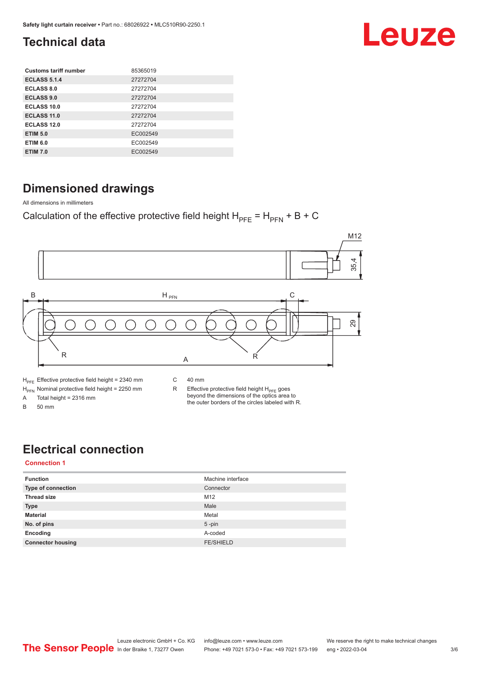# Leuze

## <span id="page-2-0"></span>**Technical data**

| <b>Customs tariff number</b> | 85365019 |
|------------------------------|----------|
| <b>ECLASS 5.1.4</b>          | 27272704 |
| <b>ECLASS 8.0</b>            | 27272704 |
| <b>ECLASS 9.0</b>            | 27272704 |
| ECLASS 10.0                  | 27272704 |
| <b>ECLASS 11.0</b>           | 27272704 |
| ECLASS 12.0                  | 27272704 |
| <b>ETIM 5.0</b>              | EC002549 |
| <b>ETIM 6.0</b>              | EC002549 |
| <b>ETIM 7.0</b>              | EC002549 |

### **Dimensioned drawings**

All dimensions in millimeters

Calculation of the effective protective field height  $H_{PFE} = H_{PFN} + B + C$ 



## **Electrical connection**

#### **Connection 1**

| <b>Function</b>          | Machine interface |
|--------------------------|-------------------|
| Type of connection       | Connector         |
| <b>Thread size</b>       | M12               |
| <b>Type</b>              | Male              |
| <b>Material</b>          | Metal             |
| No. of pins              | $5$ -pin          |
| Encoding                 | A-coded           |
| <b>Connector housing</b> | <b>FE/SHIELD</b>  |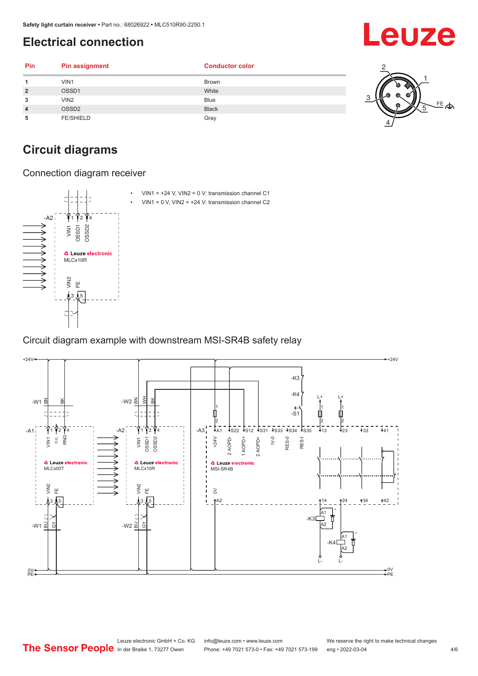## <span id="page-3-0"></span>**Electrical connection**

| Pin            | <b>Pin assignment</b> | <b>Conductor color</b> |                  |
|----------------|-----------------------|------------------------|------------------|
|                | VIN1                  | <b>Brown</b>           |                  |
| $\overline{2}$ | OSSD1                 | White                  |                  |
| 3              | VIN2                  | Blue                   |                  |
| $\overline{4}$ | OSSD <sub>2</sub>     | <b>Black</b>           | ക<br>$\tau$<br>⇒ |
| 5              | <b>FE/SHIELD</b>      | Gray                   |                  |

### **Circuit diagrams**

Connection diagram receiver



Circuit diagram example with downstream MSI-SR4B safety relay



Leuze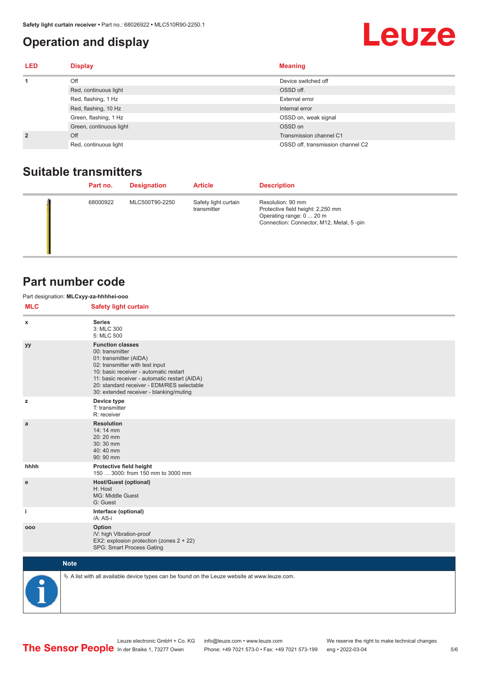#### <span id="page-4-0"></span>**Operation and display**

## **Leuze**

| <b>LED</b>     | <b>Display</b>          | <b>Meaning</b>                    |
|----------------|-------------------------|-----------------------------------|
| 1              | Off                     | Device switched off               |
|                | Red, continuous light   | OSSD off.                         |
|                | Red, flashing, 1 Hz     | External error                    |
|                | Red, flashing, 10 Hz    | Internal error                    |
|                | Green, flashing, 1 Hz   | OSSD on, weak signal              |
|                | Green, continuous light | OSSD on                           |
| $\overline{2}$ | Off                     | Transmission channel C1           |
|                | Red, continuous light   | OSSD off, transmission channel C2 |

#### **Suitable transmitters**

| Part no. | <b>Designation</b> | <b>Article</b>                      | <b>Description</b>                                                                                                             |
|----------|--------------------|-------------------------------------|--------------------------------------------------------------------------------------------------------------------------------|
| 68000922 | MLC500T90-2250     | Safety light curtain<br>transmitter | Resolution: 90 mm<br>Protective field height: 2,250 mm<br>Operating range: 0  20 m<br>Connection: Connector, M12, Metal, 5-pin |

#### **Part number code**

Part designation: **MLCxyy-za-hhhhei-ooo**

**MLC** Safety light curtain

| <b>IVILY</b> | Jalety light curtain                                                                                                                                                                                                                                                                        |
|--------------|---------------------------------------------------------------------------------------------------------------------------------------------------------------------------------------------------------------------------------------------------------------------------------------------|
| $\mathbf{x}$ | <b>Series</b><br>3: MLC 300<br>5: MLC 500                                                                                                                                                                                                                                                   |
| уу           | <b>Function classes</b><br>00: transmitter<br>01: transmitter (AIDA)<br>02: transmitter with test input<br>10: basic receiver - automatic restart<br>11: basic receiver - automatic restart (AIDA)<br>20: standard receiver - EDM/RES selectable<br>30: extended receiver - blanking/muting |
| z            | Device type<br>T: transmitter<br>R: receiver                                                                                                                                                                                                                                                |
| a            | <b>Resolution</b><br>14: 14 mm<br>20:20 mm<br>30:30 mm<br>40:40 mm<br>90: 90 mm                                                                                                                                                                                                             |
| hhhh         | Protective field height<br>150  3000: from 150 mm to 3000 mm                                                                                                                                                                                                                                |
| e            | <b>Host/Guest (optional)</b><br>H: Host<br>MG: Middle Guest<br>G: Guest                                                                                                                                                                                                                     |
| j.           | Interface (optional)<br>/A: AS-i                                                                                                                                                                                                                                                            |
| 000          | Option<br>/V: high Vibration-proof<br>EX2: explosion protection (zones 2 + 22)<br>SPG: Smart Process Gating                                                                                                                                                                                 |
|              | <b>Note</b>                                                                                                                                                                                                                                                                                 |
|              | $\&$ A list with all available device types can be found on the Leuze website at www.leuze.com.                                                                                                                                                                                             |

In der Braike 1, 73277 Owen Phone: +49 7021 573-0 • Fax: +49 7021 573-199 eng • 2022-03-04

Leuze electronic GmbH + Co. KG info@leuze.com • www.leuze.com We reserve the right to make technical changes